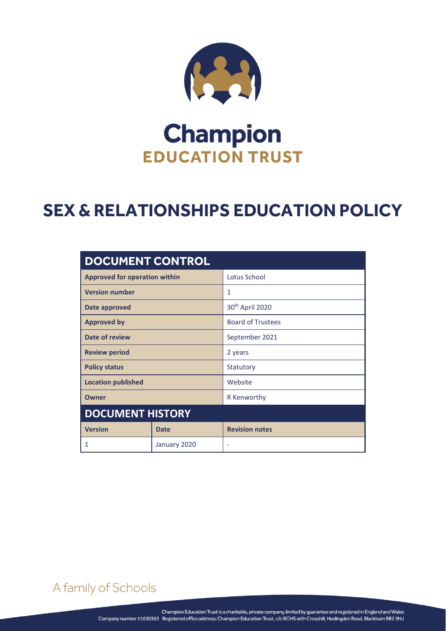

# **Champion EDUCATION TRUST**

# **SEX & RELATIONSHIPS EDUCATION POLICY**

| <b>DOCUMENT CONTROL</b>              |              |                             |  |  |  |  |
|--------------------------------------|--------------|-----------------------------|--|--|--|--|
| <b>Approved for operation within</b> |              | Lotus School                |  |  |  |  |
| <b>Version number</b>                |              | 1                           |  |  |  |  |
| Date approved                        |              | 30 <sup>th</sup> April 2020 |  |  |  |  |
| <b>Approved by</b>                   |              | <b>Board of Trustees</b>    |  |  |  |  |
| Date of review                       |              | September 2021              |  |  |  |  |
| <b>Review period</b>                 |              | 2 years                     |  |  |  |  |
| <b>Policy status</b>                 |              | Statutory                   |  |  |  |  |
| <b>Location published</b>            |              | Website                     |  |  |  |  |
| <b>Owner</b>                         |              | R Kenworthy                 |  |  |  |  |
| <b>DOCUMENT HISTORY</b>              |              |                             |  |  |  |  |
| <b>Version</b>                       | <b>Date</b>  | <b>Revision notes</b>       |  |  |  |  |
| 1                                    | January 2020 | ۰                           |  |  |  |  |

A family of Schools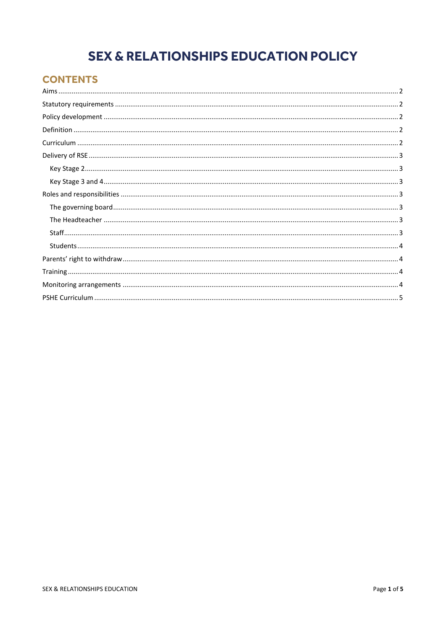# **SEX & RELATIONSHIPS EDUCATION POLICY**

# **CONTENTS**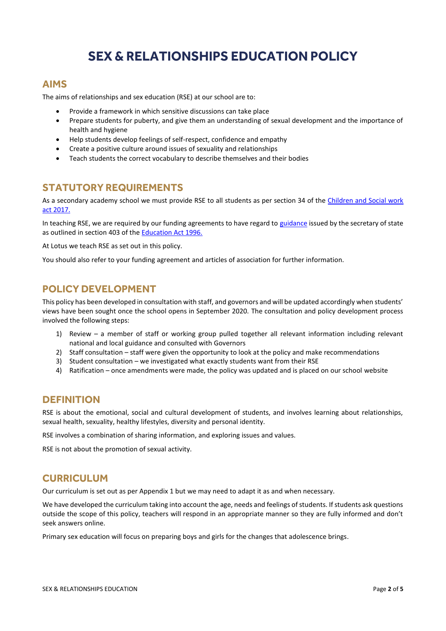# **SEX & RELATIONSHIPS EDUCATION POLICY**

# <span id="page-2-0"></span>**AIMS**

The aims of relationships and sex education (RSE) at our school are to:

- Provide a framework in which sensitive discussions can take place
- Prepare students for puberty, and give them an understanding of sexual development and the importance of health and hygiene
- Help students develop feelings of self-respect, confidence and empathy
- Create a positive culture around issues of sexuality and relationships
- Teach students the correct vocabulary to describe themselves and their bodies

# <span id="page-2-1"></span>**STATUTORY REQUIREMENTS**

As a secondary academy school we must provide RSE to all students as per section 34 of the Children and Social work [act 2017.](http://www.legislation.gov.uk/ukpga/2017/16/section/34/enacted)

In teaching RSE, we are required by our funding agreements to have regard t[o guidance](https://www.gov.uk/government/consultations/relationships-and-sex-education-and-health-education) issued by the secretary of state as outlined in section 403 of the **Education Act 1996.** 

At Lotus we teach RSE as set out in this policy.

You should also refer to your funding agreement and articles of association for further information.

# <span id="page-2-2"></span>**POLICY DEVELOPMENT**

This policy has been developed in consultation with staff, and governors and will be updated accordingly when students' views have been sought once the school opens in September 2020. The consultation and policy development process involved the following steps:

- 1) Review a member of staff or working group pulled together all relevant information including relevant national and local guidance and consulted with Governors
- 2) Staff consultation staff were given the opportunity to look at the policy and make recommendations
- 3) Student consultation we investigated what exactly students want from their RSE
- 4) Ratification once amendments were made, the policy was updated and is placed on our school website

### <span id="page-2-3"></span>**DEFINITION**

RSE is about the emotional, social and cultural development of students, and involves learning about relationships, sexual health, sexuality, healthy lifestyles, diversity and personal identity.

RSE involves a combination of sharing information, and exploring issues and values.

RSE is not about the promotion of sexual activity.

### <span id="page-2-4"></span>**CURRICULUM**

Our curriculum is set out as per Appendix 1 but we may need to adapt it as and when necessary.

We have developed the curriculum taking into account the age, needs and feelings of students. If students ask questions outside the scope of this policy, teachers will respond in an appropriate manner so they are fully informed and don't seek answers online.

Primary sex education will focus on preparing boys and girls for the changes that adolescence brings.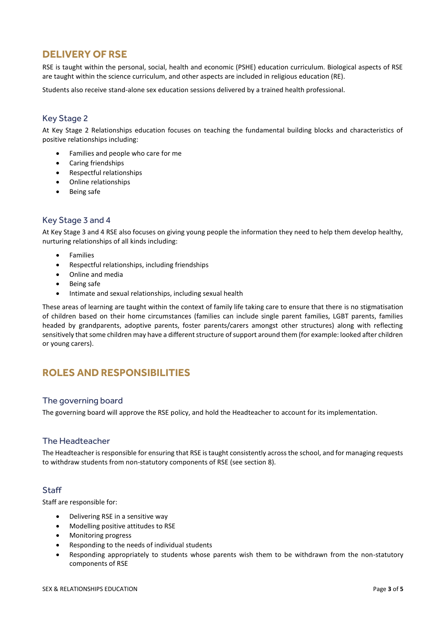# <span id="page-3-0"></span>**DELIVERY OF RSE**

RSE is taught within the personal, social, health and economic (PSHE) education curriculum. Biological aspects of RSE are taught within the science curriculum, and other aspects are included in religious education (RE).

Students also receive stand-alone sex education sessions delivered by a trained health professional.

#### <span id="page-3-1"></span>Key Stage 2

At Key Stage 2 Relationships education focuses on teaching the fundamental building blocks and characteristics of positive relationships including:

- Families and people who care for me
- Caring friendships
- Respectful relationships
- Online relationships
- Being safe

#### <span id="page-3-2"></span>Key Stage 3 and 4

At Key Stage 3 and 4 RSE also focuses on giving young people the information they need to help them develop healthy, nurturing relationships of all kinds including:

- **•** Families
- Respectful relationships, including friendships
- Online and media
- Being safe
- Intimate and sexual relationships, including sexual health

These areas of learning are taught within the context of family life taking care to ensure that there is no stigmatisation of children based on their home circumstances (families can include single parent families, LGBT parents, families headed by grandparents, adoptive parents, foster parents/carers amongst other structures) along with reflecting sensitively that some children may have a different structure of support around them (for example: looked after children or young carers).

# <span id="page-3-3"></span>**ROLES AND RESPONSIBILITIES**

#### <span id="page-3-4"></span>The governing board

The governing board will approve the RSE policy, and hold the Headteacher to account for its implementation.

#### <span id="page-3-5"></span>The Headteacher

The Headteacher is responsible for ensuring that RSE is taught consistently across the school, and for managing requests to withdraw students from non-statutory components of RSE (see section 8).

#### <span id="page-3-6"></span>**Staff**

Staff are responsible for:

- Delivering RSE in a sensitive way
- Modelling positive attitudes to RSE
- Monitoring progress
- Responding to the needs of individual students
- Responding appropriately to students whose parents wish them to be withdrawn from the non-statutory components of RSE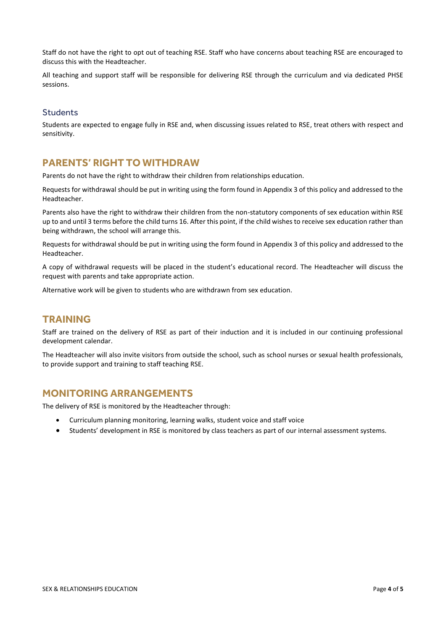Staff do not have the right to opt out of teaching RSE. Staff who have concerns about teaching RSE are encouraged to discuss this with the Headteacher.

All teaching and support staff will be responsible for delivering RSE through the curriculum and via dedicated PHSE sessions.

#### <span id="page-4-0"></span>**Students**

Students are expected to engage fully in RSE and, when discussing issues related to RSE, treat others with respect and sensitivity.

# <span id="page-4-1"></span>**PARENTS' RIGHT TO WITHDRAW**

Parents do not have the right to withdraw their children from relationships education.

Requests for withdrawal should be put in writing using the form found in Appendix 3 of this policy and addressed to the Headteacher.

Parents also have the right to withdraw their children from the non-statutory components of sex education within RSE up to and until 3 terms before the child turns 16. After this point, if the child wishes to receive sex education rather than being withdrawn, the school will arrange this.

Requests for withdrawal should be put in writing using the form found in Appendix 3 of this policy and addressed to the Headteacher.

A copy of withdrawal requests will be placed in the student's educational record. The Headteacher will discuss the request with parents and take appropriate action.

Alternative work will be given to students who are withdrawn from sex education.

# <span id="page-4-2"></span>**TRAINING**

Staff are trained on the delivery of RSE as part of their induction and it is included in our continuing professional development calendar.

The Headteacher will also invite visitors from outside the school, such as school nurses or sexual health professionals, to provide support and training to staff teaching RSE.

# <span id="page-4-3"></span>**MONITORING ARRANGEMENTS**

The delivery of RSE is monitored by the Headteacher through:

- Curriculum planning monitoring, learning walks, student voice and staff voice
- Students' development in RSE is monitored by class teachers as part of our internal assessment systems.